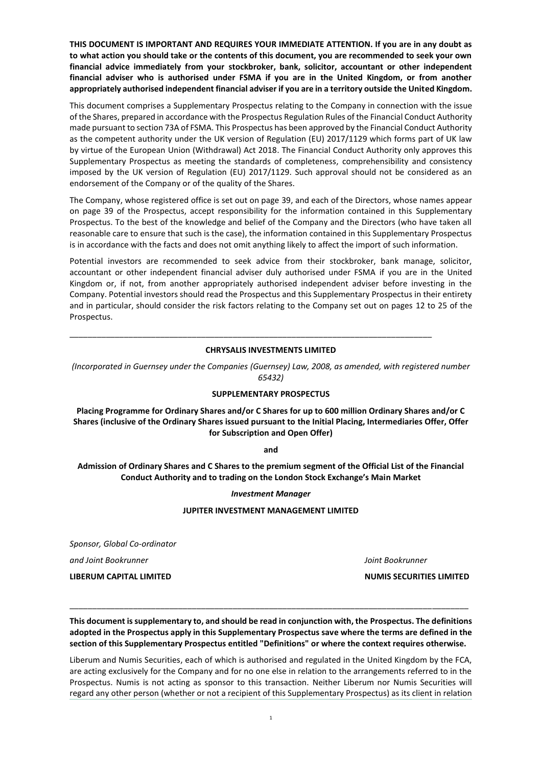**THIS DOCUMENT IS IMPORTANT AND REQUIRES YOUR IMMEDIATE ATTENTION. If you are in any doubt as to what action you should take or the contents of this document, you are recommended to seek your own financial advice immediately from your stockbroker, bank, solicitor, accountant or other independent financial adviser who is authorised under FSMA if you are in the United Kingdom, or from another appropriately authorised independent financial adviser if you are in a territory outside the United Kingdom.**

This document comprises a Supplementary Prospectus relating to the Company in connection with the issue of the Shares, prepared in accordance with the Prospectus Regulation Rules of the Financial Conduct Authority made pursuant to section 73A of FSMA. This Prospectus has been approved by the Financial Conduct Authority as the competent authority under the UK version of Regulation (EU) 2017/1129 which forms part of UK law by virtue of the European Union (Withdrawal) Act 2018. The Financial Conduct Authority only approves this Supplementary Prospectus as meeting the standards of completeness, comprehensibility and consistency imposed by the UK version of Regulation (EU) 2017/1129. Such approval should not be considered as an endorsement of the Company or of the quality of the Shares.

The Company, whose registered office is set out on page 39, and each of the Directors, whose names appear on page 39 of the Prospectus, accept responsibility for the information contained in this Supplementary Prospectus. To the best of the knowledge and belief of the Company and the Directors (who have taken all reasonable care to ensure that such is the case), the information contained in this Supplementary Prospectus is in accordance with the facts and does not omit anything likely to affect the import of such information.

Potential investors are recommended to seek advice from their stockbroker, bank manage, solicitor, accountant or other independent financial adviser duly authorised under FSMA if you are in the United Kingdom or, if not, from another appropriately authorised independent adviser before investing in the Company. Potential investors should read the Prospectus and this Supplementary Prospectus in their entirety and in particular, should consider the risk factors relating to the Company set out on pages 12 to 25 of the Prospectus.

### **CHRYSALIS INVESTMENTS LIMITED**

\_\_\_\_\_\_\_\_\_\_\_\_\_\_\_\_\_\_\_\_\_\_\_\_\_\_\_\_\_\_\_\_\_\_\_\_\_\_\_\_\_\_\_\_\_\_\_\_\_\_\_\_\_\_\_\_\_\_\_\_\_\_\_\_\_\_\_\_\_\_\_\_\_\_\_\_\_\_\_\_

*(Incorporated in Guernsey under the Companies (Guernsey) Law, 2008, as amended, with registered number 65432)*

### **SUPPLEMENTARY PROSPECTUS**

**Placing Programme for Ordinary Shares and/or C Shares for up to 600 million Ordinary Shares and/or C Shares (inclusive of the Ordinary Shares issued pursuant to the Initial Placing, Intermediaries Offer, Offer for Subscription and Open Offer)**

**and**

**Admission of Ordinary Shares and C Shares to the premium segment of the Official List of the Financial Conduct Authority and to trading on the London Stock Exchange's Main Market**

#### *Investment Manager*

**JUPITER INVESTMENT MANAGEMENT LIMITED**

*Sponsor, Global Co-ordinator* 

*and Joint Bookrunner Joint Bookrunner*

**LIBERUM CAPITAL LIMITED NUMIS SECURITIES LIMITED**

**This document is supplementary to, and should be read in conjunction with, the Prospectus. The definitions adopted in the Prospectus apply in this Supplementary Prospectus save where the terms are defined in the section of this Supplementary Prospectus entitled "Definitions" or where the context requires otherwise.**

\_\_\_\_\_\_\_\_\_\_\_\_\_\_\_\_\_\_\_\_\_\_\_\_\_\_\_\_\_\_\_\_\_\_\_\_\_\_\_\_\_\_\_\_\_\_\_\_\_\_\_\_\_\_\_\_\_\_\_\_\_\_\_\_\_\_\_\_\_\_\_\_\_\_\_\_\_\_\_\_\_\_\_\_\_\_\_\_

Liberum and Numis Securities, each of which is authorised and regulated in the United Kingdom by the FCA, are acting exclusively for the Company and for no one else in relation to the arrangements referred to in the Prospectus. Numis is not acting as sponsor to this transaction. Neither Liberum nor Numis Securities will regard any other person (whether or not a recipient of this Supplementary Prospectus) as its client in relation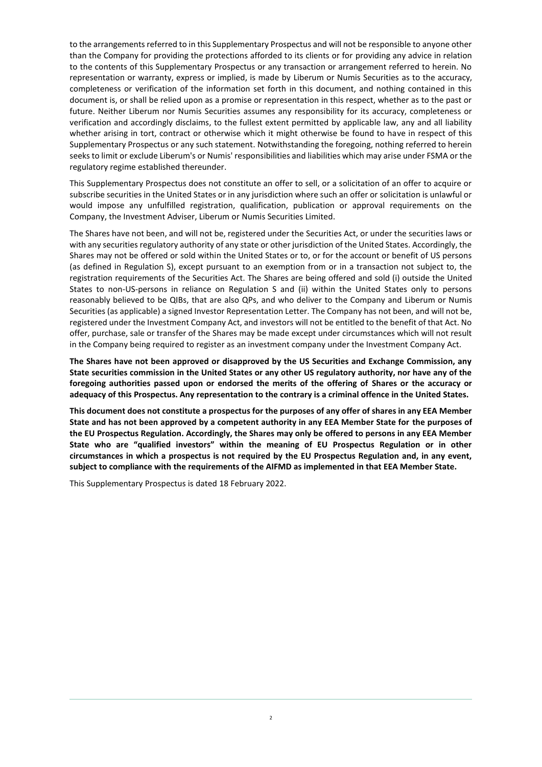to the arrangements referred to in this Supplementary Prospectus and will not be responsible to anyone other than the Company for providing the protections afforded to its clients or for providing any advice in relation to the contents of this Supplementary Prospectus or any transaction or arrangement referred to herein. No representation or warranty, express or implied, is made by Liberum or Numis Securities as to the accuracy, completeness or verification of the information set forth in this document, and nothing contained in this document is, or shall be relied upon as a promise or representation in this respect, whether as to the past or future. Neither Liberum nor Numis Securities assumes any responsibility for its accuracy, completeness or verification and accordingly disclaims, to the fullest extent permitted by applicable law, any and all liability whether arising in tort, contract or otherwise which it might otherwise be found to have in respect of this Supplementary Prospectus or any such statement. Notwithstanding the foregoing, nothing referred to herein seeks to limit or exclude Liberum's or Numis' responsibilities and liabilities which may arise under FSMA or the regulatory regime established thereunder.

This Supplementary Prospectus does not constitute an offer to sell, or a solicitation of an offer to acquire or subscribe securities in the United States or in any jurisdiction where such an offer or solicitation is unlawful or would impose any unfulfilled registration, qualification, publication or approval requirements on the Company, the Investment Adviser, Liberum or Numis Securities Limited.

The Shares have not been, and will not be, registered under the Securities Act, or under the securities laws or with any securities regulatory authority of any state or other jurisdiction of the United States. Accordingly, the Shares may not be offered or sold within the United States or to, or for the account or benefit of US persons (as defined in Regulation S), except pursuant to an exemption from or in a transaction not subject to, the registration requirements of the Securities Act. The Shares are being offered and sold (i) outside the United States to non-US-persons in reliance on Regulation S and (ii) within the United States only to persons reasonably believed to be QIBs, that are also QPs, and who deliver to the Company and Liberum or Numis Securities (as applicable) a signed Investor Representation Letter. The Company has not been, and will not be, registered under the Investment Company Act, and investors will not be entitled to the benefit of that Act. No offer, purchase, sale or transfer of the Shares may be made except under circumstances which will not result in the Company being required to register as an investment company under the Investment Company Act.

**The Shares have not been approved or disapproved by the US Securities and Exchange Commission, any State securities commission in the United States or any other US regulatory authority, nor have any of the foregoing authorities passed upon or endorsed the merits of the offering of Shares or the accuracy or adequacy of this Prospectus. Any representation to the contrary is a criminal offence in the United States.**

**This document does not constitute a prospectus for the purposes of any offer of shares in any EEA Member State and has not been approved by a competent authority in any EEA Member State for the purposes of the EU Prospectus Regulation. Accordingly, the Shares may only be offered to persons in any EEA Member State who are "qualified investors" within the meaning of EU Prospectus Regulation or in other circumstances in which a prospectus is not required by the EU Prospectus Regulation and, in any event, subject to compliance with the requirements of the AIFMD as implemented in that EEA Member State.**

This Supplementary Prospectus is dated 18 February 2022.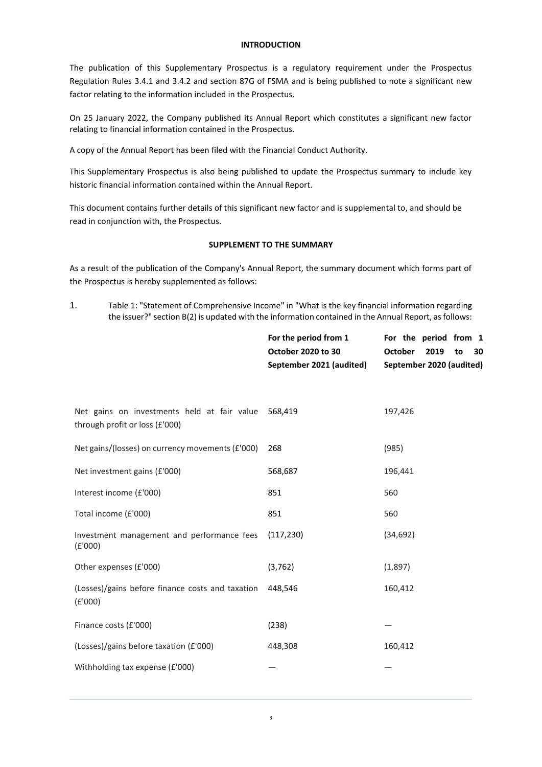## **INTRODUCTION**

The publication of this Supplementary Prospectus is a regulatory requirement under the Prospectus Regulation Rules 3.4.1 and 3.4.2 and section 87G of FSMA and is being published to note a significant new factor relating to the information included in the Prospectus.

On 25 January 2022, the Company published its Annual Report which constitutes a significant new factor relating to financial information contained in the Prospectus.

A copy of the Annual Report has been filed with the Financial Conduct Authority.

This Supplementary Prospectus is also being published to update the Prospectus summary to include key historic financial information contained within the Annual Report.

This document contains further details of this significant new factor and is supplemental to, and should be read in conjunction with, the Prospectus.

### **SUPPLEMENT TO THE SUMMARY**

As a result of the publication of the Company's Annual Report, the summary document which forms part of the Prospectus is hereby supplemented as follows:

1. Table 1: "Statement of Comprehensive Income" in "What is the key financial information regarding the issuer?" section B(2) is updated with the information contained in the Annual Report, as follows:

|                                                                               | For the period from 1<br>October 2020 to 30<br>September 2021 (audited) | For the period from 1<br>2019<br><b>October</b><br>to<br>30<br>September 2020 (audited) |
|-------------------------------------------------------------------------------|-------------------------------------------------------------------------|-----------------------------------------------------------------------------------------|
| Net gains on investments held at fair value<br>through profit or loss (£'000) | 568,419                                                                 | 197,426                                                                                 |
| Net gains/(losses) on currency movements (£'000)                              | 268                                                                     | (985)                                                                                   |
| Net investment gains (£'000)                                                  | 568,687                                                                 | 196,441                                                                                 |
| Interest income (£'000)                                                       | 851                                                                     | 560                                                                                     |
| Total income (£'000)                                                          | 851                                                                     | 560                                                                                     |
| Investment management and performance fees<br>(E'000)                         | (117, 230)                                                              | (34, 692)                                                                               |
| Other expenses (£'000)                                                        | (3, 762)                                                                | (1,897)                                                                                 |
| (Losses)/gains before finance costs and taxation<br>(E'000)                   | 448,546                                                                 | 160,412                                                                                 |
| Finance costs (£'000)                                                         | (238)                                                                   |                                                                                         |
| (Losses)/gains before taxation (£'000)                                        | 448,308                                                                 | 160,412                                                                                 |
| Withholding tax expense (£'000)                                               |                                                                         |                                                                                         |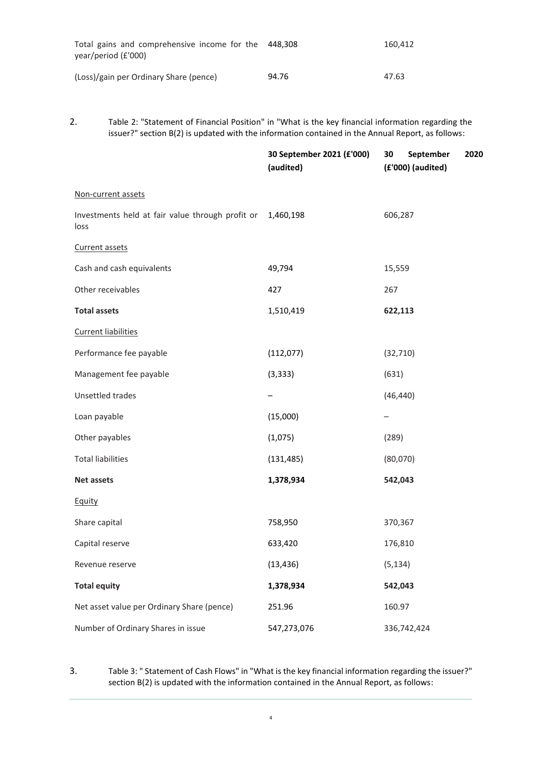| Total gains and comprehensive income for the 448,308<br>year/period (£'000) |       | 160.412 |
|-----------------------------------------------------------------------------|-------|---------|
| (Loss)/gain per Ordinary Share (pence)                                      | 94.76 | 47.63   |

2. Table 2: "Statement of Financial Position" in "What is the key financial information regarding the issuer?" section B(2) is updated with the information contained in the Annual Report, as follows:

|                                                          | 30 September 2021 (£'000)<br>(audited) | 30<br>September<br>2020<br>(£'000) (audited) |
|----------------------------------------------------------|----------------------------------------|----------------------------------------------|
| Non-current assets                                       |                                        |                                              |
| Investments held at fair value through profit or<br>loss | 1,460,198                              | 606,287                                      |
| Current assets                                           |                                        |                                              |
| Cash and cash equivalents                                | 49,794                                 | 15,559                                       |
| Other receivables                                        | 427                                    | 267                                          |
| <b>Total assets</b>                                      | 1,510,419                              | 622,113                                      |
| <b>Current liabilities</b>                               |                                        |                                              |
| Performance fee payable                                  | (112,077)                              | (32, 710)                                    |
| Management fee payable                                   | (3, 333)                               | (631)                                        |
| Unsettled trades                                         |                                        | (46, 440)                                    |
| Loan payable                                             | (15,000)                               |                                              |
| Other payables                                           | (1,075)                                | (289)                                        |
| <b>Total liabilities</b>                                 | (131, 485)                             | (80,070)                                     |
| Net assets                                               | 1,378,934                              | 542,043                                      |
| Equity                                                   |                                        |                                              |
| Share capital                                            | 758,950                                | 370,367                                      |
| Capital reserve                                          | 633,420                                | 176,810                                      |
| Revenue reserve                                          | (13, 436)                              | (5, 134)                                     |
| <b>Total equity</b>                                      | 1,378,934                              | 542,043                                      |
| Net asset value per Ordinary Share (pence)               | 251.96                                 | 160.97                                       |
| Number of Ordinary Shares in issue                       | 547,273,076                            | 336,742,424                                  |

3. Table 3: " Statement of Cash Flows" in "What is the key financial information regarding the issuer?" section B(2) is updated with the information contained in the Annual Report, as follows: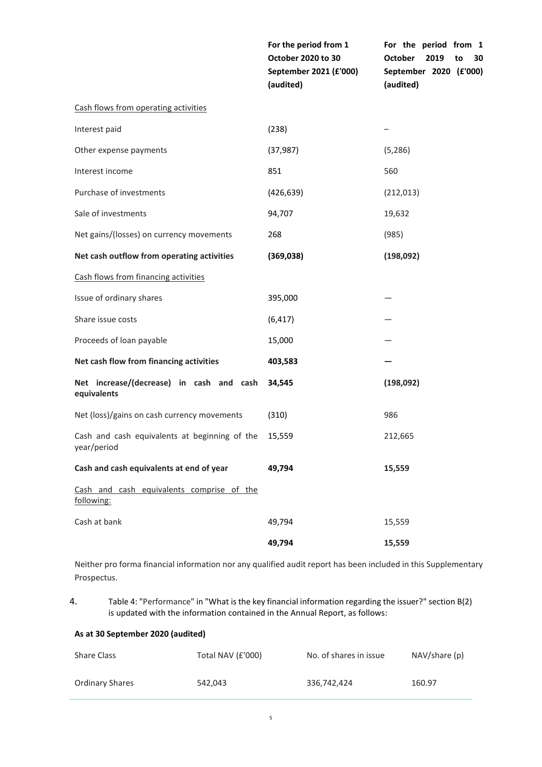|                                                              | For the period from 1<br>October 2020 to 30<br>September 2021 (£'000)<br>(audited) | For the period from 1<br><b>October</b><br>2019<br>30<br>to<br>September 2020 (£'000)<br>(audited) |
|--------------------------------------------------------------|------------------------------------------------------------------------------------|----------------------------------------------------------------------------------------------------|
| Cash flows from operating activities                         |                                                                                    |                                                                                                    |
| Interest paid                                                | (238)                                                                              |                                                                                                    |
| Other expense payments                                       | (37, 987)                                                                          | (5, 286)                                                                                           |
| Interest income                                              | 851                                                                                | 560                                                                                                |
| Purchase of investments                                      | (426, 639)                                                                         | (212, 013)                                                                                         |
| Sale of investments                                          | 94,707                                                                             | 19,632                                                                                             |
| Net gains/(losses) on currency movements                     | 268                                                                                | (985)                                                                                              |
| Net cash outflow from operating activities                   | (369, 038)                                                                         | (198,092)                                                                                          |
| Cash flows from financing activities                         |                                                                                    |                                                                                                    |
| Issue of ordinary shares                                     | 395,000                                                                            |                                                                                                    |
| Share issue costs                                            | (6, 417)                                                                           |                                                                                                    |
| Proceeds of loan payable                                     | 15,000                                                                             |                                                                                                    |
| Net cash flow from financing activities                      | 403,583                                                                            |                                                                                                    |
| Net increase/(decrease) in cash and cash<br>equivalents      | 34,545                                                                             | (198,092)                                                                                          |
| Net (loss)/gains on cash currency movements                  | (310)                                                                              | 986                                                                                                |
| Cash and cash equivalents at beginning of the<br>year/period | 15,559                                                                             | 212,665                                                                                            |
| Cash and cash equivalents at end of year                     | 49,794                                                                             | 15,559                                                                                             |
| Cash and cash equivalents comprise of the<br>following:      |                                                                                    |                                                                                                    |
| Cash at bank                                                 | 49,794                                                                             | 15,559                                                                                             |
|                                                              | 49,794                                                                             | 15,559                                                                                             |

Neither pro forma financial information nor any qualified audit report has been included in this Supplementary Prospectus.

4. Table 4: "Performance" in "What is the key financial information regarding the issuer?" section B(2) is updated with the information contained in the Annual Report, as follows:

## **As at 30 September 2020 (audited)**

| <b>Share Class</b>     | Total NAV (£'000) | No. of shares in issue | NAV/share (p) |
|------------------------|-------------------|------------------------|---------------|
| <b>Ordinary Shares</b> | 542.043           | 336.742.424            | 160.97        |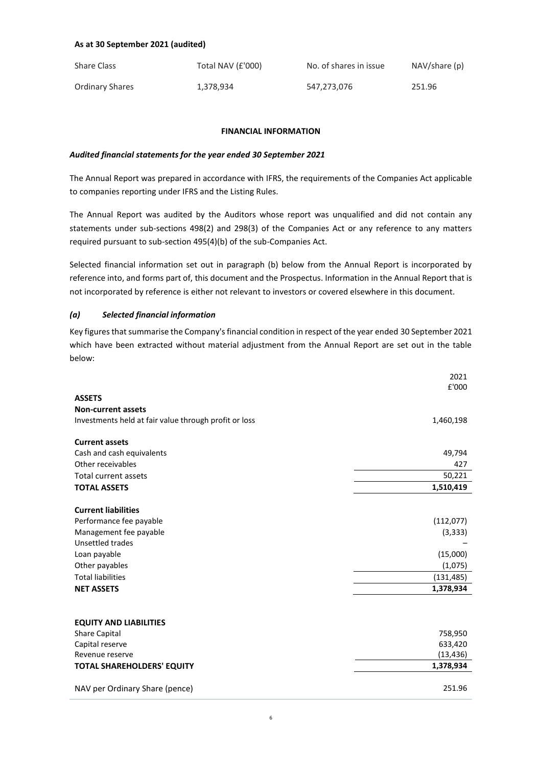### **As at 30 September 2021 (audited)**

| <b>Share Class</b> | Total NAV (£'000) | No. of shares in issue | NAV/share(p) |
|--------------------|-------------------|------------------------|--------------|
| Ordinary Shares    | 1,378,934         | 547,273,076            | 251.96       |

### **FINANCIAL INFORMATION**

## *Audited financial statements for the year ended 30 September 2021*

The Annual Report was prepared in accordance with IFRS, the requirements of the Companies Act applicable to companies reporting under IFRS and the Listing Rules.

The Annual Report was audited by the Auditors whose report was unqualified and did not contain any statements under sub-sections 498(2) and 298(3) of the Companies Act or any reference to any matters required pursuant to sub-section 495(4)(b) of the sub-Companies Act.

Selected financial information set out in paragraph (b) below from the Annual Report is incorporated by reference into, and forms part of, this document and the Prospectus. Information in the Annual Report that is not incorporated by reference is either not relevant to investors or covered elsewhere in this document.

## *(a) Selected financial information*

Key figures that summarise the Company's financial condition in respect of the year ended 30 September 2021 which have been extracted without material adjustment from the Annual Report are set out in the table below:

 $2021$ 

|                                                       | ZUZI<br>£'000 |
|-------------------------------------------------------|---------------|
| <b>ASSETS</b>                                         |               |
| <b>Non-current assets</b>                             |               |
| Investments held at fair value through profit or loss | 1,460,198     |
| <b>Current assets</b>                                 |               |
| Cash and cash equivalents                             | 49,794        |
| Other receivables                                     | 427           |
| <b>Total current assets</b>                           | 50,221        |
| <b>TOTAL ASSETS</b>                                   | 1,510,419     |
|                                                       |               |
| <b>Current liabilities</b>                            |               |
| Performance fee payable                               | (112,077)     |
| Management fee payable                                | (3, 333)      |
| Unsettled trades                                      |               |
| Loan payable                                          | (15,000)      |
| Other payables                                        | (1,075)       |
| <b>Total liabilities</b>                              | (131, 485)    |
| <b>NET ASSETS</b>                                     | 1,378,934     |
|                                                       |               |
| <b>EQUITY AND LIABILITIES</b>                         |               |
| Share Capital                                         | 758,950       |
| Capital reserve                                       | 633,420       |
| Revenue reserve                                       | (13, 436)     |
| <b>TOTAL SHAREHOLDERS' EQUITY</b>                     | 1,378,934     |
| NAV per Ordinary Share (pence)                        | 251.96        |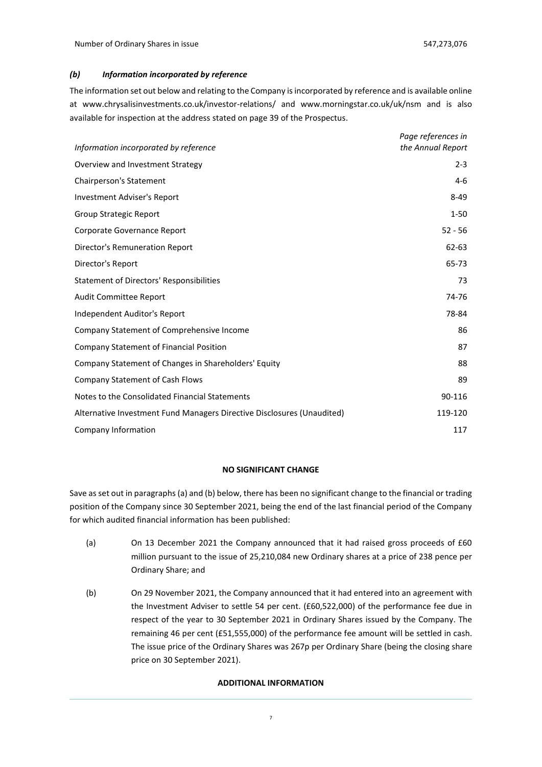### *(b) Information incorporated by reference*

The information set out below and relating to the Company is incorporated by reference and is available online at www.chrysalisinvestments.co.uk/investor-relations/ and www.morningstar.co.uk/uk/nsm and is also available for inspection at the address stated on page 39 of the Prospectus.

| Information incorporated by reference                                  | Page references in<br>the Annual Report |
|------------------------------------------------------------------------|-----------------------------------------|
| Overview and Investment Strategy                                       | $2 - 3$                                 |
| Chairperson's Statement                                                | $4-6$                                   |
| Investment Adviser's Report                                            | $8-49$                                  |
| Group Strategic Report                                                 | $1 - 50$                                |
| Corporate Governance Report                                            | $52 - 56$                               |
| Director's Remuneration Report                                         | 62-63                                   |
| Director's Report                                                      | 65-73                                   |
| Statement of Directors' Responsibilities                               | 73                                      |
| Audit Committee Report                                                 | 74-76                                   |
| Independent Auditor's Report                                           | 78-84                                   |
| Company Statement of Comprehensive Income                              | 86                                      |
| <b>Company Statement of Financial Position</b>                         | 87                                      |
| Company Statement of Changes in Shareholders' Equity                   | 88                                      |
| <b>Company Statement of Cash Flows</b>                                 | 89                                      |
| Notes to the Consolidated Financial Statements                         | 90-116                                  |
| Alternative Investment Fund Managers Directive Disclosures (Unaudited) | 119-120                                 |
| Company Information                                                    | 117                                     |

#### **NO SIGNIFICANT CHANGE**

Save as set out in paragraphs (a) and (b) below, there has been no significant change to the financial or trading position of the Company since 30 September 2021, being the end of the last financial period of the Company for which audited financial information has been published:

- (a) On 13 December 2021 the Company announced that it had raised gross proceeds of £60 million pursuant to the issue of 25,210,084 new Ordinary shares at a price of 238 pence per Ordinary Share; and
- (b) On 29 November 2021, the Company announced that it had entered into an agreement with the Investment Adviser to settle 54 per cent. (£60,522,000) of the performance fee due in respect of the year to 30 September 2021 in Ordinary Shares issued by the Company. The remaining 46 per cent (£51,555,000) of the performance fee amount will be settled in cash. The issue price of the Ordinary Shares was 267p per Ordinary Share (being the closing share price on 30 September 2021).

### **ADDITIONAL INFORMATION**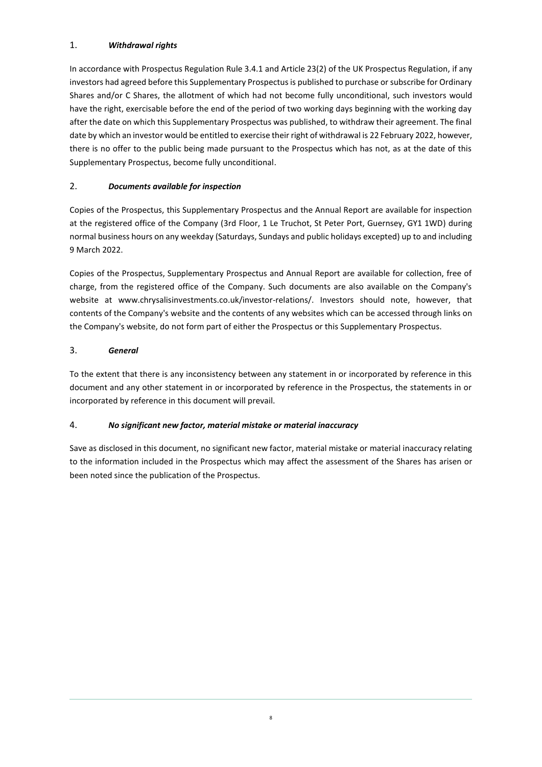# 1. *Withdrawal rights*

In accordance with Prospectus Regulation Rule 3.4.1 and Article 23(2) of the UK Prospectus Regulation, if any investors had agreed before this Supplementary Prospectus is published to purchase or subscribe for Ordinary Shares and/or C Shares, the allotment of which had not become fully unconditional, such investors would have the right, exercisable before the end of the period of two working days beginning with the working day after the date on which this Supplementary Prospectus was published, to withdraw their agreement. The final date by which an investor would be entitled to exercise their right of withdrawal is 22 February 2022, however, there is no offer to the public being made pursuant to the Prospectus which has not, as at the date of this Supplementary Prospectus, become fully unconditional.

# 2. *Documents available for inspection*

Copies of the Prospectus, this Supplementary Prospectus and the Annual Report are available for inspection at the registered office of the Company (3rd Floor, 1 Le Truchot, St Peter Port, Guernsey, GY1 1WD) during normal business hours on any weekday (Saturdays, Sundays and public holidays excepted) up to and including 9 March 2022.

Copies of the Prospectus, Supplementary Prospectus and Annual Report are available for collection, free of charge, from the registered office of the Company. Such documents are also available on the Company's website at www.chrysalisinvestments.co.uk/investor-relations/. Investors should note, however, that contents of the Company's website and the contents of any websites which can be accessed through links on the Company's website, do not form part of either the Prospectus or this Supplementary Prospectus.

# 3. *General*

To the extent that there is any inconsistency between any statement in or incorporated by reference in this document and any other statement in or incorporated by reference in the Prospectus, the statements in or incorporated by reference in this document will prevail.

# 4. *No significant new factor, material mistake or material inaccuracy*

Save as disclosed in this document, no significant new factor, material mistake or material inaccuracy relating to the information included in the Prospectus which may affect the assessment of the Shares has arisen or been noted since the publication of the Prospectus.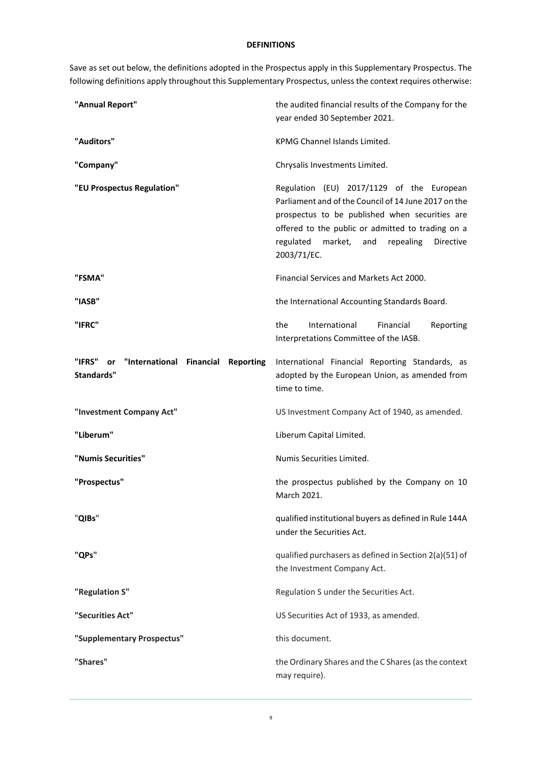## **DEFINITIONS**

Save as set out below, the definitions adopted in the Prospectus apply in this Supplementary Prospectus. The following definitions apply throughout this Supplementary Prospectus, unless the context requires otherwise:

| "Annual Report"                                                  | the audited financial results of the Company for the<br>year ended 30 September 2021.                                                                                                                                                                                            |
|------------------------------------------------------------------|----------------------------------------------------------------------------------------------------------------------------------------------------------------------------------------------------------------------------------------------------------------------------------|
| "Auditors"                                                       | <b>KPMG Channel Islands Limited.</b>                                                                                                                                                                                                                                             |
| "Company"                                                        | Chrysalis Investments Limited.                                                                                                                                                                                                                                                   |
| "EU Prospectus Regulation"                                       | Regulation (EU) 2017/1129 of the European<br>Parliament and of the Council of 14 June 2017 on the<br>prospectus to be published when securities are<br>offered to the public or admitted to trading on a<br>regulated<br>market,<br>and<br>repealing<br>Directive<br>2003/71/EC. |
| "FSMA"                                                           | Financial Services and Markets Act 2000.                                                                                                                                                                                                                                         |
| "IASB"                                                           | the International Accounting Standards Board.                                                                                                                                                                                                                                    |
| "IFRC"                                                           | International<br>the<br>Financial<br>Reporting<br>Interpretations Committee of the IASB.                                                                                                                                                                                         |
| "IFRS"<br>"International Financial Reporting<br>or<br>Standards" | International Financial Reporting Standards, as<br>adopted by the European Union, as amended from<br>time to time.                                                                                                                                                               |
| "Investment Company Act"                                         | US Investment Company Act of 1940, as amended.                                                                                                                                                                                                                                   |
| "Liberum"                                                        | Liberum Capital Limited.                                                                                                                                                                                                                                                         |
| "Numis Securities"                                               | Numis Securities Limited.                                                                                                                                                                                                                                                        |
| "Prospectus"                                                     | the prospectus published by the Company on 10<br>March 2021.                                                                                                                                                                                                                     |
| "QIBs"                                                           | qualified institutional buyers as defined in Rule 144A<br>under the Securities Act.                                                                                                                                                                                              |
| "QPs"                                                            | qualified purchasers as defined in Section 2(a)(51) of<br>the Investment Company Act.                                                                                                                                                                                            |
| "Regulation S"                                                   | Regulation S under the Securities Act.                                                                                                                                                                                                                                           |
| "Securities Act"                                                 | US Securities Act of 1933, as amended.                                                                                                                                                                                                                                           |
| "Supplementary Prospectus"                                       | this document.                                                                                                                                                                                                                                                                   |
| "Shares"                                                         | the Ordinary Shares and the C Shares (as the context<br>may require).                                                                                                                                                                                                            |